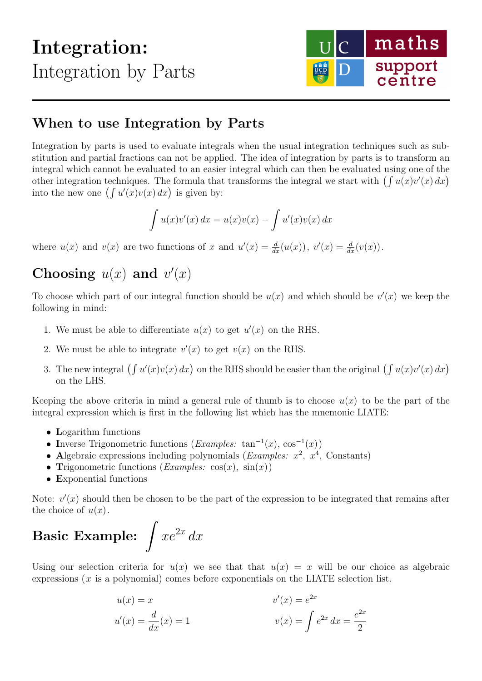## Integration: Integration by Parts



## When to use Integration by Parts

Integration by parts is used to evaluate integrals when the usual integration techniques such as substitution and partial fractions can not be applied. The idea of integration by parts is to transform an integral which cannot be evaluated to an easier integral which can then be evaluated using one of the other integration techniques. The formula that transforms the integral we start with  $\left(\int u(x)v'(x) dx\right)$ into the new one  $(\int u'(x)v(x) dx)$  is given by:

$$
\int u(x)v'(x) dx = u(x)v(x) - \int u'(x)v(x) dx
$$

where  $u(x)$  and  $v(x)$  are two functions of x and  $u'(x) = \frac{d}{dx}(u(x))$ ,  $v'(x) = \frac{d}{dx}(v(x))$ .

## Choosing  $u(x)$  and  $v'(x)$

To choose which part of our integral function should be  $u(x)$  and which should be  $v'(x)$  we keep the following in mind:

- 1. We must be able to differentiate  $u(x)$  to get  $u'(x)$  on the RHS.
- 2. We must be able to integrate  $v'(x)$  to get  $v(x)$  on the RHS.
- 3. The new integral  $\left(\int u'(x)v(x)\,dx\right)$  on the RHS should be easier than the original  $\left(\int u(x)v'(x)\,dx\right)$ on the LHS.

Keeping the above criteria in mind a general rule of thumb is to choose  $u(x)$  to be the part of the integral expression which is first in the following list which has the mnemonic LIATE:

- Logarithm functions
- Inverse Trigonometric functions  $(Examples: \tan^{-1}(x), \cos^{-1}(x))$
- Algebraic expressions including polynomials (*Examples:*  $x^2$ ,  $x^4$ , Constants)
- Trigonometric functions (*Examples:*  $cos(x)$ ,  $sin(x)$ )
- Exponential functions

Note:  $v'(x)$  should then be chosen to be the part of the expression to be integrated that remains after the choice of  $u(x)$ .

## Basic Example:  $\int xe^{2x} dx$

Using our selection criteria for  $u(x)$  we see that that  $u(x) = x$  will be our choice as algebraic expressions  $(x$  is a polynomial) comes before exponentials on the LIATE selection list.

$$
u(x) = x
$$
  

$$
u'(x) = \frac{d}{dx}(x) = 1
$$
  

$$
v'(x) = e^{2x}
$$
  

$$
v(x) = \int e^{2x} dx = \frac{e^{2x}}{2}
$$